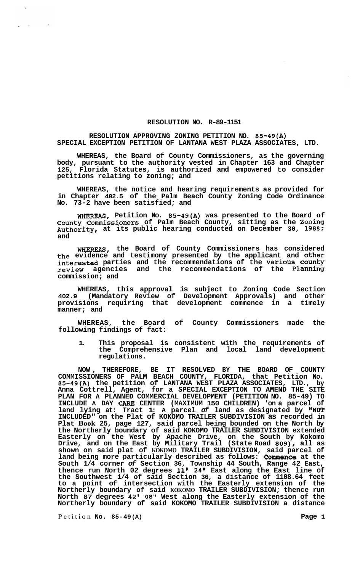## **RESOLUTION NO. R-89-1151**

## **RESOLUTION APPROVING ZONING PETITION NO. 85-49(A) SPECIAL EXCEPTION PETITION OF LANTANA WEST PLAZA ASSOCIATES, LTD.**

**WHEREAS, the Board of County Commissioners, as the governing body, pursuant to the authority vested in Chapter 163 and Chapter 125, Florida Statutes, is authorized and empowered to consider petitions relating to zoning; and** 

**WHEREAS, the notice and hearing requirements as provided for in Chapter 402.5 of the Palm Beach County Zoning Code Ordinance No. 73-2 have been satisfied; and** 

**WHEREAS, Petition No. 85-49(A) was presented to the Board of County Commissioners of Palm Beach County, sitting as the Zoning Authority, at its public hearing conducted on December 30, 1988; and** 

**WHEREAS, the Board of County Commissioners has considered the evidence and testimony presented by the applicant and other interested parties and the recommendations of the Various County review agencies and the recommendations of the Planning commission; and** 

**WHEREAS, this approval is subject to Zoning Code Section 402.9 (Mandatory Review of Development Approvals) and other provisions requiring that development commence in a timely manner; and** 

**WHEREAS, the Board of County Commissioners made the following findings of fact:** 

**1. This proposal is consistent with the requirements of the Comprehensive Plan and local land development regulations.** 

**NOW** , **THEREFORE, BE IT RESOLVED BY THE BOARD OF COUNTY COMMISSIONERS OF PALM BEACH COUNTY, FLORIDA, that Petition No. 85-49(A) the petition of LANTANA WEST PLAZA ASSOCIATES, LTD., by Anna Cottrell, Agent, for a SPECIAL EXCEPTION TO AMEND THE SITE PLAN FOR A PLANNED COMMERCIAL DEVELOPMENT (PETITION NO. 85-49) TO INCLUDE A DAY** *CARE* **CENTER (MAXIMUM 150 CHILDREN) 'on a parcel of land lying at: Tract 1: A parcel** *of* **land as designated by "NOT INCLUDED" on the Plat of KOKOMO TRAILER SUBDIVISION as recorded in Plat Book 25, page 127, said parcel being bounded on the North by the Northerly boundary of said KOKOMO TRAILER SUBDIVISION extended Easterly on the West by Apache Drive, on the South by Kokomo Drive, and on the East by Military Trail (State Road 809), all as shown on said plat of KOKOMO TRAILER SUBDIVISION, said parcel of land being more particularly described as follows: Commence at the South 1/4 corner** *of* **Section 36, Township 44 South, Range 42 East, thence run North 02 degrees 11' 24" East along the East line of the Southwest 1/4 of said Section 36, a distance of 1108.64 feet to a point of intersection with the Easterly extension of the Northerly boundary of said KOKOMO TRAILER SUBDIVISION; thence run North 87 degrees 42' 08" West along the Easterly extension of the Northerly boundary of said KOKOMO TRAILER SUBDIVISION a distance** 

Petition **No. 85-49 (A) Page 1**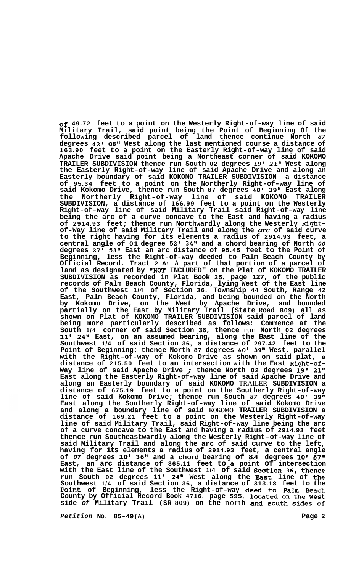**of 49.72 feet to a point on the Westerly Right-of-way line of said Military Trail, said point being the Point of Beginning Of the following described parcel of land thence continue North** *87*  **degrees 42'** *08''* **West along the last mentioned course a distance of 163.90 feet to a point on the Easterly Right-of-way line of said Apache Drive said point being a Northeast corner of said KOKOMO TRAILER SUBDIVISION thence run South 02 degrees 19' 21" West along the Easterly Right-of-way line of said Apache Drive and along an Easterly boundary of said KOKOMO TRAILER SUBDIVISION a distance of 95.34 feet to a point on the Northerly Right-of-way line of said Kokomo Drive, thence run South 87 degrees 40' 39" East along the Northerly Right-of-way line of said KOKOMO TRAILER SUBDIVISION, a distance of 166.99 feet to a point on the Westerly Right-of-way line of said Military Trail said Right-of-way line being the arc of a curve concave to the East and having a radius of 2914.93 feet; thence run Northwardly along the Westerly Rightof-Way line of said Military Trail and along the** *arc* **of said curve to the right having for its elements a radius of 2914.93 feet, a central angle of 01 degree 52' 34" and a chord bearing of North** *00*  **degrees 27' 53" East an arc distance of 95.45 feet to the Point of Beginning, less the Right-of-way deeded to Palm Beach County by Official Record. Tract 2-A: A part of that portion of a parcel of land as designated by "NOT INCLUDED" on the Plat of KOKOMO TRAILER SUBDIVISION as recorded in Plat Book 25, page 127, of the public records of Palm Beach County, Florida, lying West of the East line of the Southwest 1/4 of Section 36, Township 44 South, Range 42 East, Palm Beach County, Florida, and being bounded on the North by Kokomo Drive, on the West by Apache Drive, and bounded partially on the East by Military Trail (State Road 809) all as shown on Plat of KOKOMO TRAILER SUBDIVISION said parcel of land being more particularly described as follows: Commence at the South 1/4 corner of said Section 36, thence** run **North 02 degrees 11' 24" East, on an assumed bearing, along the Bast line of the Southwest 1/4 of said Section 36, a distance of 297.42 feet to the Point of Beginning; thence North 87 degrees 40' 39" West, parallel with the Right-of-way of Kokomo Drive as shown on said plat, a distance of 215.50 feet to an intersection with the East Right-of-Way line of said Apache Drive** ; **thence North 02 degrees 19' 21" East along the Easterly Right-of-way line of said Apache Drive and along an Easterly boundary of said KOKOMO** TRAILER **SUBDIVISION a distance of 675.19 feet to a point on the Southerly Right-of-way line of said Kokomo Drive; thence run South** *87* **degrees 40' 39" East along the Southerly Right-of-way line of said Kokomo Drive and along a boundary line of said KOKOMO TRAILER SUBDIVISION a distance of 169.21 feet to a point on the Westerly Right-of-way line of said Military Trail, said Right-of-way line being the arc of a curve concave to the East and having a radius of 2914.93 feet thence run Southeastwardly along the Westerly Right-of-way line of said Military Trail and along the arc of said curve to the left, having for its elements a radius of 2914.93 feet, a central angle of** *07* **degrees 10' 36" and a chord bearing of 8.4 degrees 10'** *57"*  **East, an arc distance of 365.11 feet to a point of intersection with the East line of the Southwest 1/4 of said Section 36, thence run South 02 degrees 11' 24" West along the Bast line of the Southwest 1/4 of said Section 36, a distance of 313.18 feet to the Point of Beginning, less the Right-of-way deed to Palm Beach County by Official Record Book 4716, page 595, located on the west side** *of* **Military Trail (SR 809) on the** north **and south sides of** 

*Petition* **No. 85-49 (A) Page 2**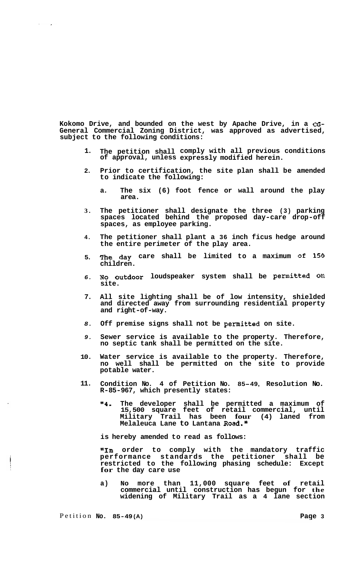**Kokomo Drive, and bounded on the west by Apache Drive, in a** *cG-***General Commercial Zoning District, was approved as advertised, subject to the following conditions:** 

- **1. The petition shall comply with all previous conditions of approval, unless expressly modified herein.**
- **2. Prior to certification, the site plan shall be amended to indicate the following:** 
	- **a. The six (6) foot fence or wall around the play area.**
- **3. The petitioner shall designate the three (3) parking spaces located behind the proposed day-care drop-off spaces, as employee parking.**
- **4. The petitioner shall plant a 36 inch ficus hedge around the entire perimeter of the play area.**
- **5. The day care shall be limited to a maximum of 150 children.**
- *6.*  **NO outdoor loudspeaker system shall be permitted on site.**
- **7. All site lighting shall be of low intensity, shielded and directed away from surrounding residential property and right-of-way.**
- *8.*  **Off premise signs shall not be permitted on site.**
- *9.*  **Sewer service is available to the property. Therefore, no septic tank shall be permitted on the site.**
- **10. Water service is available to the property. Therefore, no well shall be permitted on the site to provide potable water.**
- **11. Condition No. 4 of Petition No. 85-49, Resolution No. R-85-967, which presently states:** 
	- **"4. The developer shall be permitted a maximum of 15,500 square feet of retail commercial, until Military Trail has been four (4) laned from Melaleuca Lane to Lantana Road."**

**is hereby amended to read as follows:** 

**"In order to comply with the mandatory traffic performance standards the petitioner shall be restricted to the following phasing schedule: Except for the day care use** 

**a) No more than 11,000 square feet of retail commercial until construction has begun for the widening of Military Trail as a 4 lane section** 

 $\mathcal{F}^{\mathcal{G}}_{\mathcal{G}}$  and  $\mathcal{F}^{\mathcal{G}}_{\mathcal{G}}$